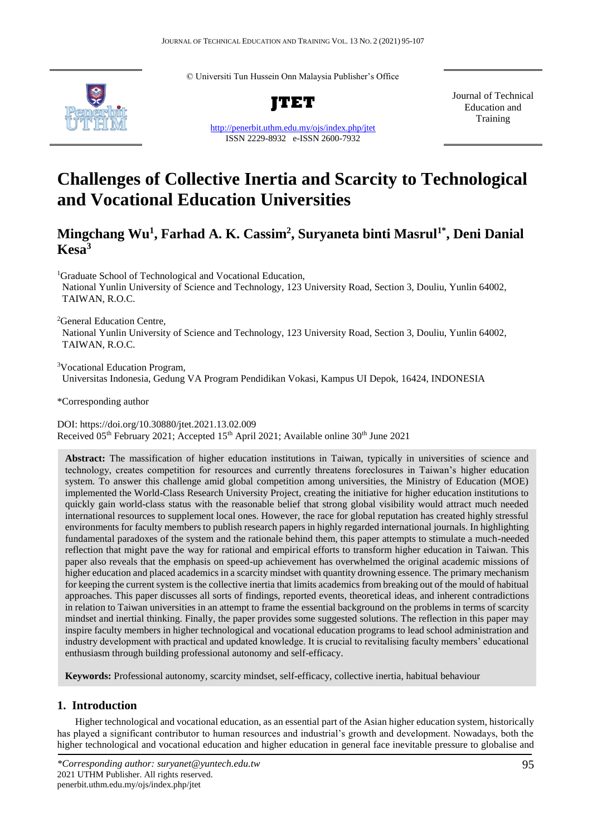© Universiti Tun Hussein Onn Malaysia Publisher's Office



**JTET**

<http://penerbit.uthm.edu.my/ojs/index.php/jtet> ISSN 2229-8932 e-ISSN 2600-7932

Journal of Technical Education and Training

# **Challenges of Collective Inertia and Scarcity to Technological and Vocational Education Universities**

**Mingchang Wu<sup>1</sup> , Farhad A. K. Cassim<sup>2</sup> , Suryaneta binti Masrul1\*, Deni Danial Kesa<sup>3</sup>**

<sup>1</sup>Graduate School of Technological and Vocational Education,

National Yunlin University of Science and Technology, 123 University Road, Section 3, Douliu, Yunlin 64002, TAIWAN, R.O.C.

<sup>2</sup>General Education Centre,

National Yunlin University of Science and Technology, 123 University Road, Section 3, Douliu, Yunlin 64002, TAIWAN, R.O.C.

<sup>3</sup>Vocational Education Program, Universitas Indonesia, Gedung VA Program Pendidikan Vokasi, Kampus UI Depok, 16424, INDONESIA

\*Corresponding author

DOI: https://doi.org/10.30880/jtet.2021.13.02.009 Received 05<sup>th</sup> February 2021; Accepted 15<sup>th</sup> April 2021; Available online 30<sup>th</sup> June 2021

**Abstract:** The massification of higher education institutions in Taiwan, typically in universities of science and technology, creates competition for resources and currently threatens foreclosures in Taiwan's higher education system. To answer this challenge amid global competition among universities, the Ministry of Education (MOE) implemented the World-Class Research University Project, creating the initiative for higher education institutions to quickly gain world-class status with the reasonable belief that strong global visibility would attract much needed international resources to supplement local ones. However, the race for global reputation has created highly stressful environments for faculty members to publish research papers in highly regarded international journals. In highlighting fundamental paradoxes of the system and the rationale behind them, this paper attempts to stimulate a much-needed reflection that might pave the way for rational and empirical efforts to transform higher education in Taiwan. This paper also reveals that the emphasis on speed-up achievement has overwhelmed the original academic missions of higher education and placed academics in a scarcity mindset with quantity drowning essence. The primary mechanism for keeping the current system is the collective inertia that limits academics from breaking out of the mould of habitual approaches. This paper discusses all sorts of findings, reported events, theoretical ideas, and inherent contradictions in relation to Taiwan universities in an attempt to frame the essential background on the problems in terms of scarcity mindset and inertial thinking. Finally, the paper provides some suggested solutions. The reflection in this paper may inspire faculty members in higher technological and vocational education programs to lead school administration and industry development with practical and updated knowledge. It is crucial to revitalising faculty members' educational enthusiasm through building professional autonomy and self-efficacy.

**Keywords:** Professional autonomy, scarcity mindset, self-efficacy, collective inertia, habitual behaviour

# **1. Introduction**

Higher technological and vocational education, as an essential part of the Asian higher education system, historically has played a significant contributor to human resources and industrial's growth and development. Nowadays, both the higher technological and vocational education and higher education in general face inevitable pressure to globalise and

*<sup>\*</sup>Corresponding author: suryanet@yuntech.edu.tw* 2021 UTHM Publisher. All rights reserved. penerbit.uthm.edu.my/ojs/index.php/jtet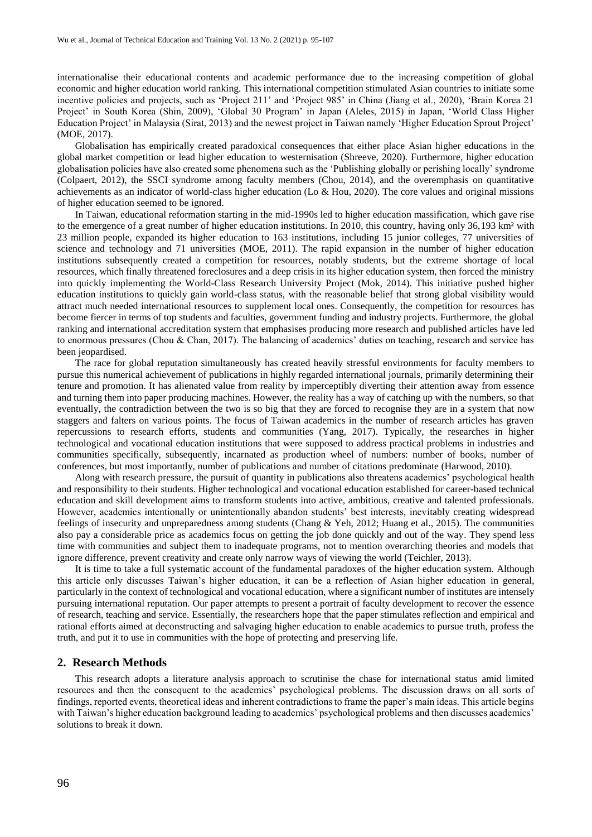internationalise their educational contents and academic performance due to the increasing competition of global economic and higher education world ranking. This international competition stimulated Asian countries to initiate some incentive policies and projects, such as 'Project 211' and 'Project 985' in China (Jiang et al., 2020), 'Brain Korea 21 Project' in South Korea (Shin, 2009), 'Global 30 Program' in Japan (Aleles, 2015) in Japan, 'World Class Higher Education Project' in Malaysia (Sirat, 2013) and the newest project in Taiwan namely 'Higher Education Sprout Project' (MOE, 2017).

Globalisation has empirically created paradoxical consequences that either place Asian higher educations in the global market competition or lead higher education to westernisation (Shreeve, 2020). Furthermore, higher education globalisation policies have also created some phenomena such as the 'Publishing globally or perishing locally' syndrome (Colpaert, 2012), the SSCI syndrome among faculty members (Chou, 2014), and the overemphasis on quantitative achievements as an indicator of world-class higher education (Lo & Hou, 2020). The core values and original missions of higher education seemed to be ignored.

In Taiwan, educational reformation starting in the mid-1990s led to higher education massification, which gave rise to the emergence of a great number of higher education institutions. In 2010, this country, having only 36,193 km² with 23 million people, expanded its higher education to 163 institutions, including 15 junior colleges, 77 universities of science and technology and 71 universities (MOE, 2011). The rapid expansion in the number of higher education institutions subsequently created a competition for resources, notably students, but the extreme shortage of local resources, which finally threatened foreclosures and a deep crisis in its higher education system, then forced the ministry into quickly implementing the World-Class Research University Project (Mok, 2014). This initiative pushed higher education institutions to quickly gain world-class status, with the reasonable belief that strong global visibility would attract much needed international resources to supplement local ones. Consequently, the competition for resources has become fiercer in terms of top students and faculties, government funding and industry projects. Furthermore, the global ranking and international accreditation system that emphasises producing more research and published articles have led to enormous pressures (Chou & Chan, 2017). The balancing of academics' duties on teaching, research and service has been jeopardised.

The race for global reputation simultaneously has created heavily stressful environments for faculty members to pursue this numerical achievement of publications in highly regarded international journals, primarily determining their tenure and promotion. It has alienated value from reality by imperceptibly diverting their attention away from essence and turning them into paper producing machines. However, the reality has a way of catching up with the numbers, so that eventually, the contradiction between the two is so big that they are forced to recognise they are in a system that now staggers and falters on various points. The focus of Taiwan academics in the number of research articles has graven repercussions to research efforts, students and communities (Yang, 2017). Typically, the researches in higher technological and vocational education institutions that were supposed to address practical problems in industries and communities specifically, subsequently, incarnated as production wheel of numbers: number of books, number of conferences, but most importantly, number of publications and number of citations predominate (Harwood, 2010).

Along with research pressure, the pursuit of quantity in publications also threatens academics' psychological health and responsibility to their students. Higher technological and vocational education established for career-based technical education and skill development aims to transform students into active, ambitious, creative and talented professionals. However, academics intentionally or unintentionally abandon students' best interests, inevitably creating widespread feelings of insecurity and unpreparedness among students (Chang & Yeh, 2012; Huang et al., 2015). The communities also pay a considerable price as academics focus on getting the job done quickly and out of the way. They spend less time with communities and subject them to inadequate programs, not to mention overarching theories and models that ignore difference, prevent creativity and create only narrow ways of viewing the world (Teichler, 2013).

It is time to take a full systematic account of the fundamental paradoxes of the higher education system. Although this article only discusses Taiwan's higher education, it can be a reflection of Asian higher education in general, particularly in the context of technological and vocational education, where a significant number of institutes are intensely pursuing international reputation. Our paper attempts to present a portrait of faculty development to recover the essence of research, teaching and service. Essentially, the researchers hope that the paper stimulates reflection and empirical and rational efforts aimed at deconstructing and salvaging higher education to enable academics to pursue truth, profess the truth, and put it to use in communities with the hope of protecting and preserving life.

### **2. Research Methods**

This research adopts a literature analysis approach to scrutinise the chase for international status amid limited resources and then the consequent to the academics' psychological problems. The discussion draws on all sorts of findings, reported events, theoretical ideas and inherent contradictions to frame the paper's main ideas. This article begins with Taiwan's higher education background leading to academics' psychological problems and then discusses academics' solutions to break it down.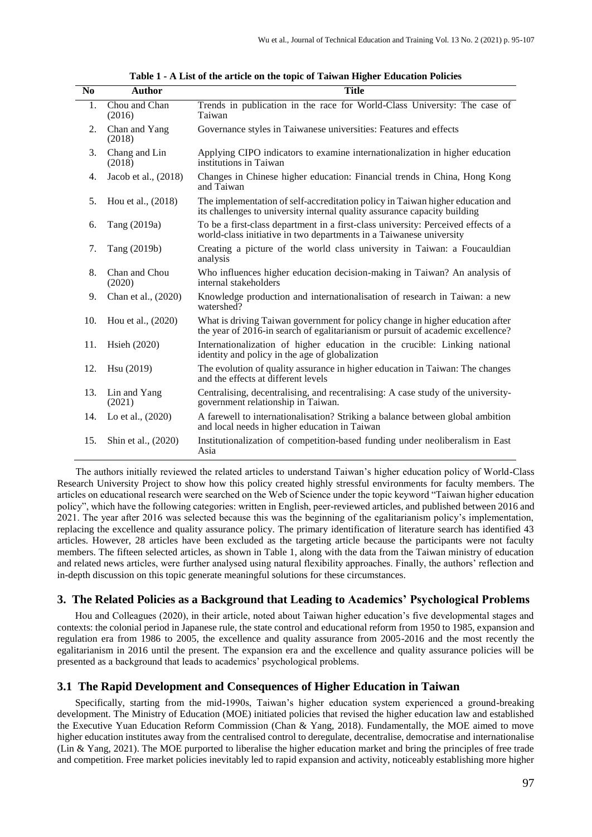| N <sub>0</sub> | <b>Author</b>           | <b>Title</b>                                                                                                                                                     |
|----------------|-------------------------|------------------------------------------------------------------------------------------------------------------------------------------------------------------|
| 1.             | Chou and Chan<br>(2016) | Trends in publication in the race for World-Class University: The case of<br>Taiwan                                                                              |
| 2.             | Chan and Yang<br>(2018) | Governance styles in Taiwanese universities: Features and effects                                                                                                |
| 3.             | Chang and Lin<br>(2018) | Applying CIPO indicators to examine internationalization in higher education<br>institutions in Taiwan                                                           |
| 4.             | Jacob et al., (2018)    | Changes in Chinese higher education: Financial trends in China, Hong Kong<br>and Taiwan                                                                          |
| 5.             | Hou et al., (2018)      | The implementation of self-accreditation policy in Taiwan higher education and<br>its challenges to university internal quality assurance capacity building      |
| 6.             | Tang (2019a)            | To be a first-class department in a first-class university: Perceived effects of a<br>world-class initiative in two departments in a Taiwanese university        |
| 7.             | Tang (2019b)            | Creating a picture of the world class university in Taiwan: a Foucauldian<br>analysis                                                                            |
| 8.             | Chan and Chou<br>(2020) | Who influences higher education decision-making in Taiwan? An analysis of<br>internal stakeholders                                                               |
| 9.             | Chan et al., (2020)     | Knowledge production and internationalisation of research in Taiwan: a new<br>watershed?                                                                         |
| 10.            | Hou et al., (2020)      | What is driving Taiwan government for policy change in higher education after<br>the year of 2016-in search of egalitarianism or pursuit of academic excellence? |
| 11.            | Hsieh (2020)            | Internationalization of higher education in the crucible: Linking national<br>identity and policy in the age of globalization                                    |
| 12.            | Hsu (2019)              | The evolution of quality assurance in higher education in Taiwan: The changes<br>and the effects at different levels                                             |
| 13.            | Lin and Yang<br>(2021)  | Centralising, decentralising, and recentralising: A case study of the university-<br>government relationship in Taiwan.                                          |
| 14.            | Lo et al., (2020)       | A farewell to internationalisation? Striking a balance between global ambition<br>and local needs in higher education in Taiwan                                  |
| 15.            | Shin et al., (2020)     | Institutionalization of competition-based funding under neoliberalism in East<br>Asia                                                                            |

**Table 1 - A List of the article on the topic of Taiwan Higher Education Policies**

The authors initially reviewed the related articles to understand Taiwan's higher education policy of World-Class Research University Project to show how this policy created highly stressful environments for faculty members. The articles on educational research were searched on the Web of Science under the topic keyword "Taiwan higher education policy", which have the following categories: written in English, peer-reviewed articles, and published between 2016 and 2021. The year after 2016 was selected because this was the beginning of the egalitarianism policy's implementation, replacing the excellence and quality assurance policy. The primary identification of literature search has identified 43 articles. However, 28 articles have been excluded as the targeting article because the participants were not faculty members. The fifteen selected articles, as shown in Table 1, along with the data from the Taiwan ministry of education and related news articles, were further analysed using natural flexibility approaches. Finally, the authors' reflection and in-depth discussion on this topic generate meaningful solutions for these circumstances.

## **3. The Related Policies as a Background that Leading to Academics' Psychological Problems**

Hou and Colleagues (2020), in their article, noted about Taiwan higher education's five developmental stages and contexts: the colonial period in Japanese rule, the state control and educational reform from 1950 to 1985, expansion and regulation era from 1986 to 2005, the excellence and quality assurance from 2005-2016 and the most recently the egalitarianism in 2016 until the present. The expansion era and the excellence and quality assurance policies will be presented as a background that leads to academics' psychological problems.

## **3.1 The Rapid Development and Consequences of Higher Education in Taiwan**

Specifically, starting from the mid-1990s, Taiwan's higher education system experienced a ground-breaking development. The Ministry of Education (MOE) initiated policies that revised the higher education law and established the Executive Yuan Education Reform Commission (Chan & Yang, 2018). Fundamentally, the MOE aimed to move higher education institutes away from the centralised control to deregulate, decentralise, democratise and internationalise (Lin & Yang, 2021). The MOE purported to liberalise the higher education market and bring the principles of free trade and competition. Free market policies inevitably led to rapid expansion and activity, noticeably establishing more higher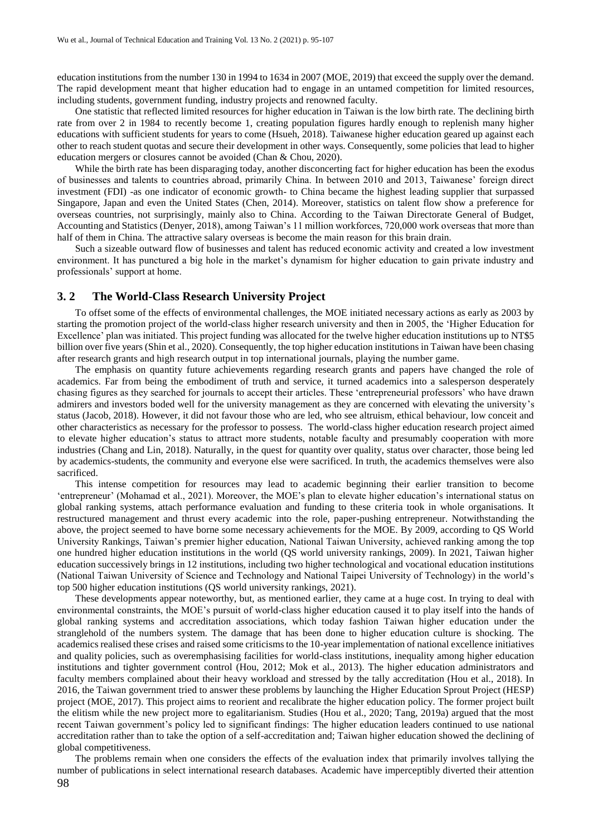education institutions from the number 130 in 1994 to 1634 in 2007 (MOE, 2019) that exceed the supply over the demand. The rapid development meant that higher education had to engage in an untamed competition for limited resources, including students, government funding, industry projects and renowned faculty.

One statistic that reflected limited resources for higher education in Taiwan is the low birth rate. The declining birth rate from over 2 in 1984 to recently become 1, creating population figures hardly enough to replenish many higher educations with sufficient students for years to come (Hsueh, 2018). Taiwanese higher education geared up against each other to reach student quotas and secure their development in other ways. Consequently, some policies that lead to higher education mergers or closures cannot be avoided (Chan & Chou, 2020).

While the birth rate has been disparaging today, another disconcerting fact for higher education has been the exodus of businesses and talents to countries abroad, primarily China. In between 2010 and 2013, Taiwanese' foreign direct investment (FDI) -as one indicator of economic growth- to China became the highest leading supplier that surpassed Singapore, Japan and even the United States (Chen, 2014). Moreover, statistics on talent flow show a preference for overseas countries, not surprisingly, mainly also to China. According to the Taiwan Directorate General of Budget, Accounting and Statistics (Denyer, 2018), among Taiwan's 11 million workforces, 720,000 work overseas that more than half of them in China. The attractive salary overseas is become the main reason for this brain drain.

Such a sizeable outward flow of businesses and talent has reduced economic activity and created a low investment environment. It has punctured a big hole in the market's dynamism for higher education to gain private industry and professionals' support at home.

#### **3. 2 The World-Class Research University Project**

To offset some of the effects of environmental challenges, the MOE initiated necessary actions as early as 2003 by starting the promotion project of the world-class higher research university and then in 2005, the 'Higher Education for Excellence' plan was initiated. This project funding was allocated for the twelve higher education institutions up to NT\$5 billion over five years (Shin et al., 2020). Consequently, the top higher education institutions in Taiwan have been chasing after research grants and high research output in top international journals, playing the number game.

The emphasis on quantity future achievements regarding research grants and papers have changed the role of academics. Far from being the embodiment of truth and service, it turned academics into a salesperson desperately chasing figures as they searched for journals to accept their articles. These 'entrepreneurial professors' who have drawn admirers and investors boded well for the university management as they are concerned with elevating the university's status (Jacob, 2018). However, it did not favour those who are led, who see altruism, ethical behaviour, low conceit and other characteristics as necessary for the professor to possess. The world-class higher education research project aimed to elevate higher education's status to attract more students, notable faculty and presumably cooperation with more industries (Chang and Lin, 2018). Naturally, in the quest for quantity over quality, status over character, those being led by academics-students, the community and everyone else were sacrificed. In truth, the academics themselves were also sacrificed.

This intense competition for resources may lead to academic beginning their earlier transition to become 'entrepreneur' (Mohamad et al., 2021). Moreover, the MOE's plan to elevate higher education's international status on global ranking systems, attach performance evaluation and funding to these criteria took in whole organisations. It restructured management and thrust every academic into the role, paper-pushing entrepreneur. Notwithstanding the above, the project seemed to have borne some necessary achievements for the MOE. By 2009, according to QS World University Rankings, Taiwan's premier higher education, National Taiwan University, achieved ranking among the top one hundred higher education institutions in the world (QS world university rankings, 2009). In 2021, Taiwan higher education successively brings in 12 institutions, including two higher technological and vocational education institutions (National Taiwan University of Science and Technology and National Taipei University of Technology) in the world's top 500 higher education institutions (QS world university rankings, 2021).

These developments appear noteworthy, but, as mentioned earlier, they came at a huge cost. In trying to deal with environmental constraints, the MOE's pursuit of world-class higher education caused it to play itself into the hands of global ranking systems and accreditation associations, which today fashion Taiwan higher education under the stranglehold of the numbers system. The damage that has been done to higher education culture is shocking. The academics realised these crises and raised some criticisms to the 10-year implementation of national excellence initiatives and quality policies, such as overemphasising facilities for world-class institutions, inequality among higher education institutions and tighter government control (Hou, 2012; Mok et al., 2013). The higher education administrators and faculty members complained about their heavy workload and stressed by the tally accreditation (Hou et al., 2018). In 2016, the Taiwan government tried to answer these problems by launching the Higher Education Sprout Project (HESP) project (MOE, 2017). This project aims to reorient and recalibrate the higher education policy. The former project built the elitism while the new project more to egalitarianism. Studies (Hou et al., 2020; Tang, 2019a) argued that the most recent Taiwan government's policy led to significant findings: The higher education leaders continued to use national accreditation rather than to take the option of a self-accreditation and; Taiwan higher education showed the declining of global competitiveness.

98 The problems remain when one considers the effects of the evaluation index that primarily involves tallying the number of publications in select international research databases. Academic have imperceptibly diverted their attention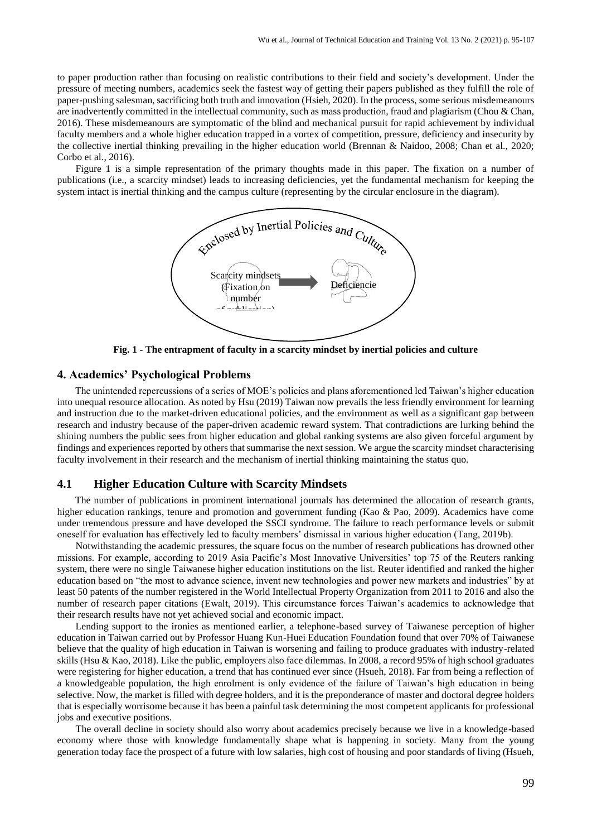to paper production rather than focusing on realistic contributions to their field and society's development. Under the pressure of meeting numbers, academics seek the fastest way of getting their papers published as they fulfill the role of paper-pushing salesman, sacrificing both truth and innovation (Hsieh, 2020). In the process, some serious misdemeanours are inadvertently committed in the intellectual community, such as mass production, fraud and plagiarism (Chou & Chan, 2016). These misdemeanours are symptomatic of the blind and mechanical pursuit for rapid achievement by individual faculty members and a whole higher education trapped in a vortex of competition, pressure, deficiency and insecurity by the collective inertial thinking prevailing in the higher education world (Brennan & Naidoo, 2008; Chan et al., 2020; Corbo et al., 2016).

Figure 1 is a simple representation of the primary thoughts made in this paper. The fixation on a number of publications (i.e., a scarcity mindset) leads to increasing deficiencies, yet the fundamental mechanism for keeping the system intact is inertial thinking and the campus culture (representing by the circular enclosure in the diagram).



**Fig. 1 - The entrapment of faculty in a scarcity mindset by inertial policies and culture**

## **4. Academics' Psychological Problems**

The unintended repercussions of a series of MOE's policies and plans aforementioned led Taiwan's higher education into unequal resource allocation. As noted by Hsu (2019) Taiwan now prevails the less friendly environment for learning and instruction due to the market-driven educational policies, and the environment as well as a significant gap between research and industry because of the paper-driven academic reward system. That contradictions are lurking behind the shining numbers the public sees from higher education and global ranking systems are also given forceful argument by findings and experiences reported by others that summarise the next session. We argue the scarcity mindset characterising faculty involvement in their research and the mechanism of inertial thinking maintaining the status quo.

#### **4.1 Higher Education Culture with Scarcity Mindsets**

The number of publications in prominent international journals has determined the allocation of research grants, higher education rankings, tenure and promotion and government funding (Kao & Pao, 2009). Academics have come under tremendous pressure and have developed the SSCI syndrome. The failure to reach performance levels or submit oneself for evaluation has effectively led to faculty members' dismissal in various higher education (Tang, 2019b).

Notwithstanding the academic pressures, the square focus on the number of research publications has drowned other missions. For example, according to 2019 Asia Pacific's Most Innovative Universities' top 75 of the Reuters ranking system, there were no single Taiwanese higher education institutions on the list. Reuter identified and ranked the higher education based on "the most to advance science, invent new technologies and power new markets and industries" by at least 50 patents of the number registered in the World Intellectual Property Organization from 2011 to 2016 and also the number of research paper citations (Ewalt, 2019). This circumstance forces Taiwan's academics to acknowledge that their research results have not yet achieved social and economic impact.

Lending support to the ironies as mentioned earlier, a telephone-based survey of Taiwanese perception of higher education in Taiwan carried out by Professor Huang Kun-Huei Education Foundation found that over 70% of Taiwanese believe that the quality of high education in Taiwan is worsening and failing to produce graduates with industry-related skills (Hsu & Kao, 2018). Like the public, employers also face dilemmas. In 2008, a record 95% of high school graduates were registering for higher education, a trend that has continued ever since (Hsueh, 2018). Far from being a reflection of a knowledgeable population, the high enrolment is only evidence of the failure of Taiwan's high education in being selective. Now, the market is filled with degree holders, and it is the preponderance of master and doctoral degree holders that is especially worrisome because it has been a painful task determining the most competent applicants for professional jobs and executive positions.

The overall decline in society should also worry about academics precisely because we live in a knowledge-based economy where those with knowledge fundamentally shape what is happening in society. Many from the young generation today face the prospect of a future with low salaries, high cost of housing and poor standards of living (Hsueh,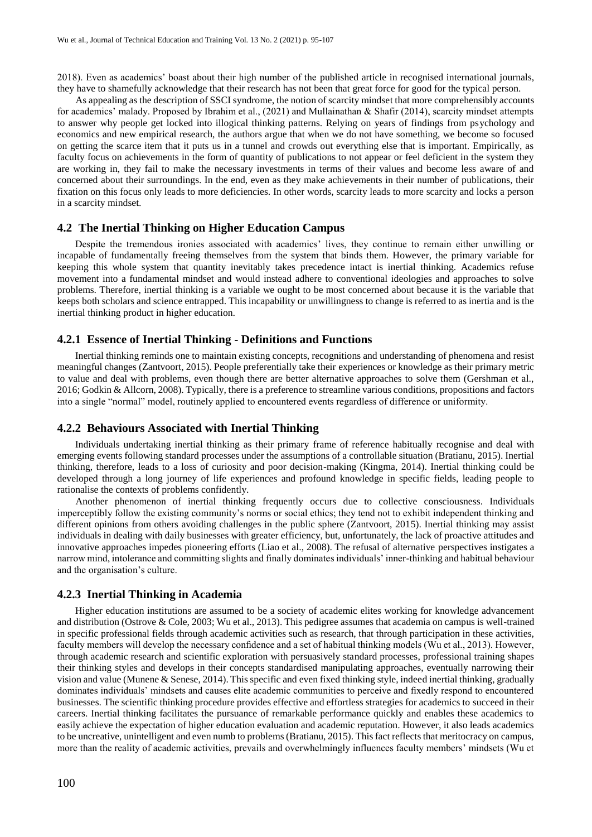2018). Even as academics' boast about their high number of the published article in recognised international journals, they have to shamefully acknowledge that their research has not been that great force for good for the typical person.

As appealing as the description of SSCI syndrome, the notion of scarcity mindset that more comprehensibly accounts for academics' malady. Proposed by Ibrahim et al., (2021) and Mullainathan & Shafir (2014), scarcity mindset attempts to answer why people get locked into illogical thinking patterns. Relying on years of findings from psychology and economics and new empirical research, the authors argue that when we do not have something, we become so focused on getting the scarce item that it puts us in a tunnel and crowds out everything else that is important. Empirically, as faculty focus on achievements in the form of quantity of publications to not appear or feel deficient in the system they are working in, they fail to make the necessary investments in terms of their values and become less aware of and concerned about their surroundings. In the end, even as they make achievements in their number of publications, their fixation on this focus only leads to more deficiencies. In other words, scarcity leads to more scarcity and locks a person in a scarcity mindset.

## **4.2 The Inertial Thinking on Higher Education Campus**

Despite the tremendous ironies associated with academics' lives, they continue to remain either unwilling or incapable of fundamentally freeing themselves from the system that binds them. However, the primary variable for keeping this whole system that quantity inevitably takes precedence intact is inertial thinking. Academics refuse movement into a fundamental mindset and would instead adhere to conventional ideologies and approaches to solve problems. Therefore, inertial thinking is a variable we ought to be most concerned about because it is the variable that keeps both scholars and science entrapped. This incapability or unwillingness to change is referred to as inertia and is the inertial thinking product in higher education.

### **4.2.1 Essence of Inertial Thinking - Definitions and Functions**

Inertial thinking reminds one to maintain existing concepts, recognitions and understanding of phenomena and resist meaningful changes (Zantvoort, 2015). People preferentially take their experiences or knowledge as their primary metric to value and deal with problems, even though there are better alternative approaches to solve them (Gershman et al., 2016; Godkin & Allcorn, 2008). Typically, there is a preference to streamline various conditions, propositions and factors into a single "normal" model, routinely applied to encountered events regardless of difference or uniformity.

## **4.2.2 Behaviours Associated with Inertial Thinking**

Individuals undertaking inertial thinking as their primary frame of reference habitually recognise and deal with emerging events following standard processes under the assumptions of a controllable situation (Bratianu, 2015). Inertial thinking, therefore, leads to a loss of curiosity and poor decision-making (Kingma, 2014). Inertial thinking could be developed through a long journey of life experiences and profound knowledge in specific fields, leading people to rationalise the contexts of problems confidently.

Another phenomenon of inertial thinking frequently occurs due to collective consciousness. Individuals imperceptibly follow the existing community's norms or social ethics; they tend not to exhibit independent thinking and different opinions from others avoiding challenges in the public sphere (Zantvoort, 2015). Inertial thinking may assist individuals in dealing with daily businesses with greater efficiency, but, unfortunately, the lack of proactive attitudes and innovative approaches impedes pioneering efforts (Liao et al., 2008). The refusal of alternative perspectives instigates a narrow mind, intolerance and committing slights and finally dominates individuals' inner-thinking and habitual behaviour and the organisation's culture.

### **4.2.3 Inertial Thinking in Academia**

Higher education institutions are assumed to be a society of academic elites working for knowledge advancement and distribution (Ostrove & Cole, 2003; Wu et al., 2013). This pedigree assumes that academia on campus is well-trained in specific professional fields through academic activities such as research, that through participation in these activities, faculty members will develop the necessary confidence and a set of habitual thinking models (Wu et al., 2013). However, through academic research and scientific exploration with persuasively standard processes, professional training shapes their thinking styles and develops in their concepts standardised manipulating approaches, eventually narrowing their vision and value (Munene & Senese, 2014). This specific and even fixed thinking style, indeed inertial thinking, gradually dominates individuals' mindsets and causes elite academic communities to perceive and fixedly respond to encountered businesses. The scientific thinking procedure provides effective and effortless strategies for academics to succeed in their careers. Inertial thinking facilitates the pursuance of remarkable performance quickly and enables these academics to easily achieve the expectation of higher education evaluation and academic reputation. However, it also leads academics to be uncreative, unintelligent and even numb to problems (Bratianu, 2015). This fact reflects that meritocracy on campus, more than the reality of academic activities, prevails and overwhelmingly influences faculty members' mindsets (Wu et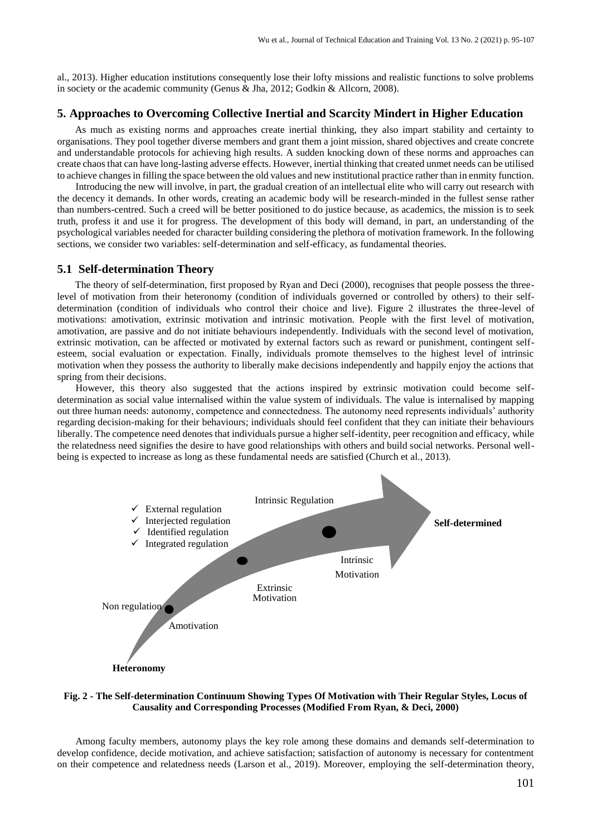al., 2013). Higher education institutions consequently lose their lofty missions and realistic functions to solve problems in society or the academic community (Genus & Jha, 2012; Godkin & Allcorn, 2008).

## **5. Approaches to Overcoming Collective Inertial and Scarcity Mindert in Higher Education**

As much as existing norms and approaches create inertial thinking, they also impart stability and certainty to organisations. They pool together diverse members and grant them a joint mission, shared objectives and create concrete and understandable protocols for achieving high results. A sudden knocking down of these norms and approaches can create chaos that can have long-lasting adverse effects. However, inertial thinking that created unmet needs can be utilised to achieve changes in filling the space between the old values and new institutional practice rather than in enmity function.

Introducing the new will involve, in part, the gradual creation of an intellectual elite who will carry out research with the decency it demands. In other words, creating an academic body will be research-minded in the fullest sense rather than numbers-centred. Such a creed will be better positioned to do justice because, as academics, the mission is to seek truth, profess it and use it for progress. The development of this body will demand, in part, an understanding of the psychological variables needed for character building considering the plethora of motivation framework. In the following sections, we consider two variables: self-determination and self-efficacy, as fundamental theories.

#### **5.1 Self-determination Theory**

The theory of self-determination, first proposed by Ryan and Deci (2000), recognises that people possess the threelevel of motivation from their heteronomy (condition of individuals governed or controlled by others) to their selfdetermination (condition of individuals who control their choice and live). Figure 2 illustrates the three-level of motivations: amotivation, extrinsic motivation and intrinsic motivation. People with the first level of motivation, amotivation, are passive and do not initiate behaviours independently. Individuals with the second level of motivation, extrinsic motivation, can be affected or motivated by external factors such as reward or punishment, contingent selfesteem, social evaluation or expectation. Finally, individuals promote themselves to the highest level of intrinsic motivation when they possess the authority to liberally make decisions independently and happily enjoy the actions that spring from their decisions.

However, this theory also suggested that the actions inspired by extrinsic motivation could become selfdetermination as social value internalised within the value system of individuals. The value is internalised by mapping out three human needs: autonomy, competence and connectedness. The autonomy need represents individuals' authority regarding decision-making for their behaviours; individuals should feel confident that they can initiate their behaviours liberally. The competence need denotes that individuals pursue a higher self-identity, peer recognition and efficacy, while the relatedness need signifies the desire to have good relationships with others and build social networks. Personal wellbeing is expected to increase as long as these fundamental needs are satisfied (Church et al., 2013).



### **Fig. 2 - The Self-determination Continuum Showing Types Of Motivation with Their Regular Styles, Locus of Causality and Corresponding Processes (Modified From Ryan, & Deci, 2000)**

Among faculty members, autonomy plays the key role among these domains and demands self-determination to develop confidence, decide motivation, and achieve satisfaction; satisfaction of autonomy is necessary for contentment on their competence and relatedness needs (Larson et al., 2019). Moreover, employing the self-determination theory,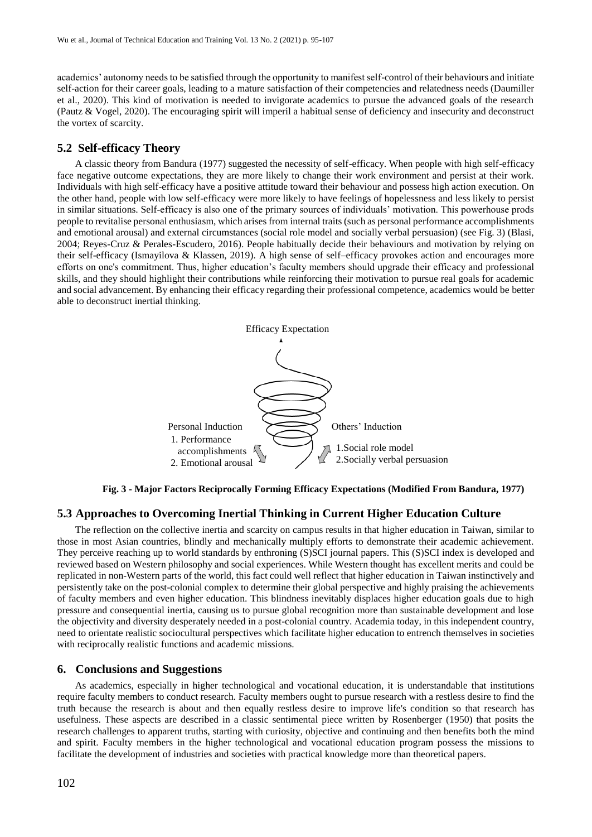academics' autonomy needs to be satisfied through the opportunity to manifest self-control of their behaviours and initiate self-action for their career goals, leading to a mature satisfaction of their competencies and relatedness needs (Daumiller et al., 2020). This kind of motivation is needed to invigorate academics to pursue the advanced goals of the research (Pautz & Vogel, 2020). The encouraging spirit will imperil a habitual sense of deficiency and insecurity and deconstruct the vortex of scarcity.

## **5.2 Self-efficacy Theory**

A classic theory from Bandura (1977) suggested the necessity of self-efficacy. When people with high self-efficacy face negative outcome expectations, they are more likely to change their work environment and persist at their work. Individuals with high self-efficacy have a positive attitude toward their behaviour and possess high action execution. On the other hand, people with low self-efficacy were more likely to have feelings of hopelessness and less likely to persist in similar situations. Self-efficacy is also one of the primary sources of individuals' motivation. This powerhouse prods people to revitalise personal enthusiasm, which arises from internal traits (such as personal performance accomplishments and emotional arousal) and external circumstances (social role model and socially verbal persuasion) (see Fig. 3) (Blasi, 2004; Reyes-Cruz & Perales-Escudero, 2016). People habitually decide their behaviours and motivation by relying on their self-efficacy (Ismayilova & Klassen, 2019). A high sense of self–efficacy provokes action and encourages more efforts on one's commitment. Thus, higher education's faculty members should upgrade their efficacy and professional skills, and they should highlight their contributions while reinforcing their motivation to pursue real goals for academic and social advancement. By enhancing their efficacy regarding their professional competence, academics would be better able to deconstruct inertial thinking.



**Fig. 3 - Major Factors Reciprocally Forming Efficacy Expectations (Modified From Bandura, 1977)**

#### **5.3 Approaches to Overcoming Inertial Thinking in Current Higher Education Culture**

The reflection on the collective inertia and scarcity on campus results in that higher education in Taiwan, similar to those in most Asian countries, blindly and mechanically multiply efforts to demonstrate their academic achievement. They perceive reaching up to world standards by enthroning (S)SCI journal papers. This (S)SCI index is developed and reviewed based on Western philosophy and social experiences. While Western thought has excellent merits and could be replicated in non-Western parts of the world, this fact could well reflect that higher education in Taiwan instinctively and persistently take on the post-colonial complex to determine their global perspective and highly praising the achievements of faculty members and even higher education. This blindness inevitably displaces higher education goals due to high pressure and consequential inertia, causing us to pursue global recognition more than sustainable development and lose the objectivity and diversity desperately needed in a post-colonial country. Academia today, in this independent country, need to orientate realistic sociocultural perspectives which facilitate higher education to entrench themselves in societies with reciprocally realistic functions and academic missions.

#### **6. Conclusions and Suggestions**

As academics, especially in higher technological and vocational education, it is understandable that institutions require faculty members to conduct research. Faculty members ought to pursue research with a restless desire to find the truth because the research is about and then equally restless desire to improve life's condition so that research has usefulness. These aspects are described in a classic sentimental piece written by Rosenberger (1950) that posits the research challenges to apparent truths, starting with curiosity, objective and continuing and then benefits both the mind and spirit. Faculty members in the higher technological and vocational education program possess the missions to facilitate the development of industries and societies with practical knowledge more than theoretical papers.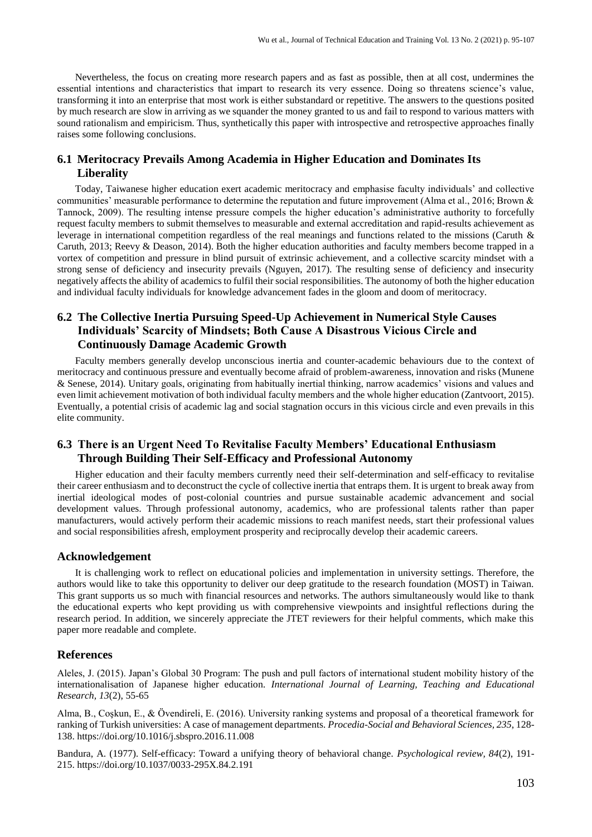Nevertheless, the focus on creating more research papers and as fast as possible, then at all cost, undermines the essential intentions and characteristics that impart to research its very essence. Doing so threatens science's value, transforming it into an enterprise that most work is either substandard or repetitive. The answers to the questions posited by much research are slow in arriving as we squander the money granted to us and fail to respond to various matters with sound rationalism and empiricism. Thus, synthetically this paper with introspective and retrospective approaches finally raises some following conclusions.

# **6.1 Meritocracy Prevails Among Academia in Higher Education and Dominates Its Liberality**

Today, Taiwanese higher education exert academic meritocracy and emphasise faculty individuals' and collective communities' measurable performance to determine the reputation and future improvement (Alma et al., 2016; Brown & Tannock, 2009). The resulting intense pressure compels the higher education's administrative authority to forcefully request faculty members to submit themselves to measurable and external accreditation and rapid-results achievement as leverage in international competition regardless of the real meanings and functions related to the missions (Caruth  $\&$ Caruth, 2013; Reevy & Deason, 2014). Both the higher education authorities and faculty members become trapped in a vortex of competition and pressure in blind pursuit of extrinsic achievement, and a collective scarcity mindset with a strong sense of deficiency and insecurity prevails (Nguyen, 2017). The resulting sense of deficiency and insecurity negatively affects the ability of academics to fulfil their social responsibilities. The autonomy of both the higher education and individual faculty individuals for knowledge advancement fades in the gloom and doom of meritocracy.

# **6.2 The Collective Inertia Pursuing Speed-Up Achievement in Numerical Style Causes Individuals' Scarcity of Mindsets; Both Cause A Disastrous Vicious Circle and Continuously Damage Academic Growth**

Faculty members generally develop unconscious inertia and counter-academic behaviours due to the context of meritocracy and continuous pressure and eventually become afraid of problem-awareness, innovation and risks (Munene & Senese, 2014). Unitary goals, originating from habitually inertial thinking, narrow academics' visions and values and even limit achievement motivation of both individual faculty members and the whole higher education (Zantvoort, 2015). Eventually, a potential crisis of academic lag and social stagnation occurs in this vicious circle and even prevails in this elite community.

## **6.3 There is an Urgent Need To Revitalise Faculty Members' Educational Enthusiasm Through Building Their Self-Efficacy and Professional Autonomy**

Higher education and their faculty members currently need their self-determination and self-efficacy to revitalise their career enthusiasm and to deconstruct the cycle of collective inertia that entraps them. It is urgent to break away from inertial ideological modes of post-colonial countries and pursue sustainable academic advancement and social development values. Through professional autonomy, academics, who are professional talents rather than paper manufacturers, would actively perform their academic missions to reach manifest needs, start their professional values and social responsibilities afresh, employment prosperity and reciprocally develop their academic careers.

## **Acknowledgement**

It is challenging work to reflect on educational policies and implementation in university settings. Therefore, the authors would like to take this opportunity to deliver our deep gratitude to the research foundation (MOST) in Taiwan. This grant supports us so much with financial resources and networks. The authors simultaneously would like to thank the educational experts who kept providing us with comprehensive viewpoints and insightful reflections during the research period. In addition, we sincerely appreciate the JTET reviewers for their helpful comments, which make this paper more readable and complete.

## **References**

Aleles, J. (2015). Japan's Global 30 Program: The push and pull factors of international student mobility history of the internationalisation of Japanese higher education. *International Journal of Learning, Teaching and Educational Research, 13*(2), 55-65

Alma, B., Coşkun, E., & Övendireli, E. (2016). University ranking systems and proposal of a theoretical framework for ranking of Turkish universities: A case of management departments. *Procedia-Social and Behavioral Sciences, 235*, 128- 138. https://doi.org/10.1016/j.sbspro.2016.11.008

Bandura, A. (1977). Self-efficacy: Toward a unifying theory of behavioral change. *Psychological review, 84*(2), 191- 215. https://doi.org/10.1037/0033-295X.84.2.191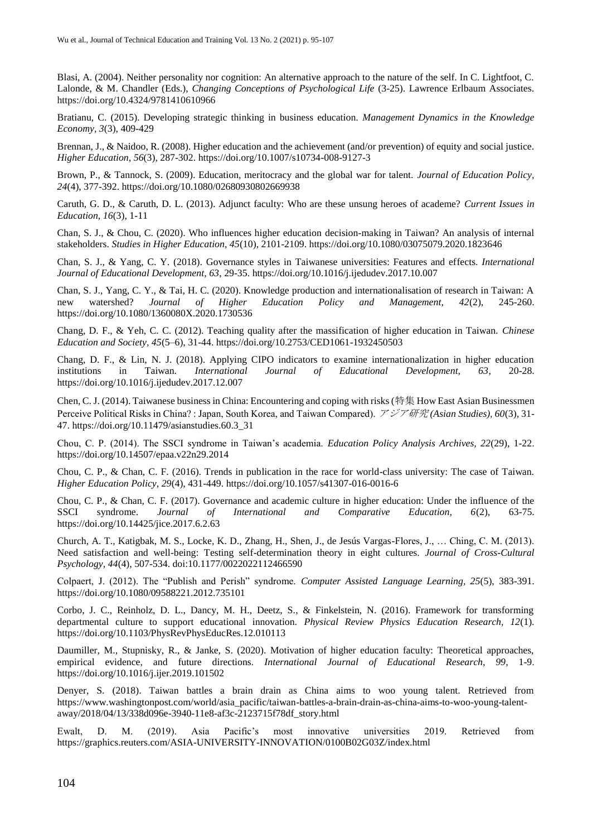Blasi, A. (2004). Neither personality nor cognition: An alternative approach to the nature of the self. In C. Lightfoot, C. Lalonde, & M. Chandler (Eds.), *Changing Conceptions of Psychological Life* (3-25). Lawrence Erlbaum Associates. <https://doi.org/10.4324/9781410610966>

Bratianu, C. (2015). Developing strategic thinking in business education. *Management Dynamics in the Knowledge Economy, 3*(3), 409-429

Brennan, J., & Naidoo, R. (2008). Higher education and the achievement (and/or prevention) of equity and social justice. *Higher Education, 56*(3), 287-302. https://doi.org/10.1007/s10734-008-9127-3

Brown, P., & Tannock, S. (2009). Education, meritocracy and the global war for talent. *Journal of Education Policy, 24*(4), 377-392. https://doi.org/10.1080/02680930802669938

Caruth, G. D., & Caruth, D. L. (2013). Adjunct faculty: Who are these unsung heroes of academe? *Current Issues in Education, 16*(3), 1-11

Chan, S. J., & Chou, C. (2020). Who influences higher education decision-making in Taiwan? An analysis of internal stakeholders. *Studies in Higher Education, 45*(10), 2101-2109. https://doi.org/10.1080/03075079.2020.1823646

Chan, S. J., & Yang, C. Y. (2018). Governance styles in Taiwanese universities: Features and effects. *International Journal of Educational Development, 63*, 29-35. https://doi.org/10.1016/j.ijedudev.2017.10.007

Chan, S. J., Yang, C. Y., & Tai, H. C. (2020). Knowledge production and internationalisation of research in Taiwan: A new watershed? Journal of Higher Education Policy and Management. 42(2), 245-260. new watershed? *Journal of Higher Education Policy and Management, 42*(2), 245-260. https://doi.org/10.1080/1360080X.2020.1730536

Chang, D. F., & Yeh, C. C. (2012). Teaching quality after the massification of higher education in Taiwan. *Chinese Education and Society, 45*(5–6), 31-44. https://doi.org/10.2753/CED1061-1932450503

Chang, D. F., & Lin, N. J. (2018). Applying CIPO indicators to examine internationalization in higher education institutions in Taiwan. *International Journal of Educational Development, 63*, 20-28. https://doi.org/10.1016/j.ijedudev.2017.12.007

Chen, C. J. (2014). Taiwanese business in China: Encountering and coping with risks (特集 How East Asian Businessmen Perceive Political Risks in China? : Japan, South Korea, and Taiwan Compared). アジア研究 *(Asian Studies), 60*(3), 31- 47. https://doi.org/10.11479/asianstudies.60.3\_31

Chou, C. P. (2014). The SSCI syndrome in Taiwan's academia. *Education Policy Analysis Archives, 22*(29), 1-22. https://doi.org/10.14507/epaa.v22n29.2014

Chou, C. P., & Chan, C. F. (2016). Trends in publication in the race for world-class university: The case of Taiwan. *Higher Education Policy, 29*(4), 431-449. https://doi.org/10.1057/s41307-016-0016-6

Chou, C. P., & Chan, C. F. (2017). Governance and academic culture in higher education: Under the influence of the SSCI syndrome. *Journal of International and Comparative Education, 6*(2), 63-75. https://doi.org/10.14425/jice.2017.6.2.63

Church, A. T., Katigbak, M. S., Locke, K. D., Zhang, H., Shen, J., de Jesús Vargas-Flores, J., … Ching, C. M. (2013). Need satisfaction and well-being: Testing self-determination theory in eight cultures. *Journal of Cross-Cultural Psychology, 44*(4), 507-534. doi:10.1177/0022022112466590

Colpaert, J. (2012). The "Publish and Perish" syndrome. *Computer Assisted Language Learning, 25*(5), 383-391. https://doi.org/10.1080/09588221.2012.735101

Corbo, J. C., Reinholz, D. L., Dancy, M. H., Deetz, S., & Finkelstein, N. (2016). Framework for transforming departmental culture to support educational innovation. *Physical Review Physics Education Research, 12*(1). https://doi.org/10.1103/PhysRevPhysEducRes.12.010113

Daumiller, M., Stupnisky, R., & Janke, S. (2020). Motivation of higher education faculty: Theoretical approaches, empirical evidence, and future directions. *International Journal of Educational Research, 99*, 1-9. https://doi.org/10.1016/j.ijer.2019.101502

Denyer, S. (2018). Taiwan battles a brain drain as China aims to woo young talent. Retrieved from https://www.washingtonpost.com/world/asia\_pacific/taiwan-battles-a-brain-drain-as-china-aims-to-woo-young-talentaway/2018/04/13/338d096e-3940-11e8-af3c-2123715f78df\_story.html

Ewalt, D. M. (2019). Asia Pacific's most innovative universities 2019. Retrieved from https://graphics.reuters.com/ASIA-UNIVERSITY-INNOVATION/0100B02G03Z/index.html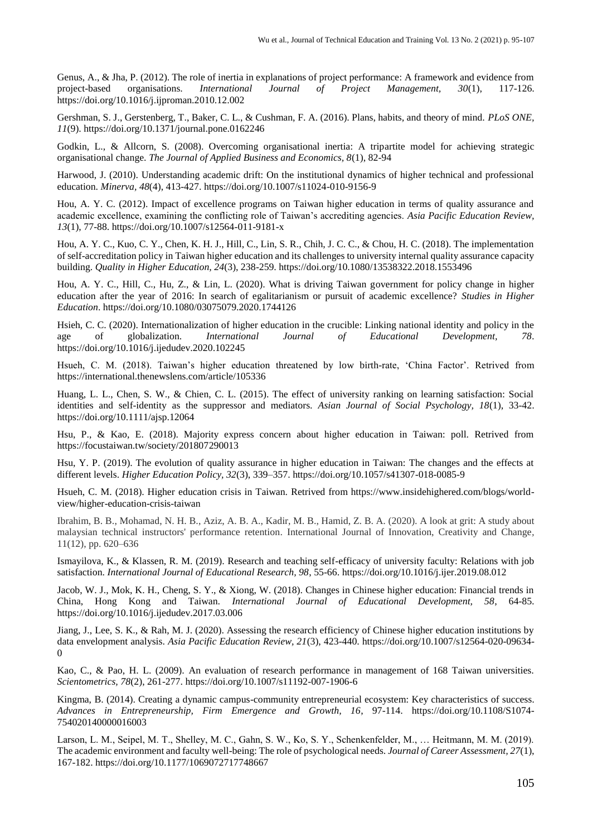Genus, A., & Jha, P. (2012). The role of inertia in explanations of project performance: A framework and evidence from project-based organisations. *International Journal of Project Management, 30*(1), 117-126. https://doi.org/10.1016/j.ijproman.2010.12.002

Gershman, S. J., Gerstenberg, T., Baker, C. L., & Cushman, F. A. (2016). Plans, habits, and theory of mind. *PLoS ONE, 11*(9). https://doi.org/10.1371/journal.pone.0162246

Godkin, L., & Allcorn, S. (2008). Overcoming organisational inertia: A tripartite model for achieving strategic organisational change. *The Journal of Applied Business and Economics, 8*(1), 82-94

Harwood, J. (2010). Understanding academic drift: On the institutional dynamics of higher technical and professional education. *Minerva, 48*(4), 413-427. https://doi.org/10.1007/s11024-010-9156-9

Hou, A. Y. C. (2012). Impact of excellence programs on Taiwan higher education in terms of quality assurance and academic excellence, examining the conflicting role of Taiwan's accrediting agencies. *Asia Pacific Education Review, 13*(1), 77-88. https://doi.org/10.1007/s12564-011-9181-x

Hou, A. Y. C., Kuo, C. Y., Chen, K. H. J., Hill, C., Lin, S. R., Chih, J. C. C., & Chou, H. C. (2018). The implementation of self-accreditation policy in Taiwan higher education and its challenges to university internal quality assurance capacity building. *Quality in Higher Education, 24*(3), 238-259. https://doi.org/10.1080/13538322.2018.1553496

Hou, A. Y. C., Hill, C., Hu, Z., & Lin, L. (2020). What is driving Taiwan government for policy change in higher education after the year of 2016: In search of egalitarianism or pursuit of academic excellence? *Studies in Higher Education*. https://doi.org/10.1080/03075079.2020.1744126

Hsieh, C. C. (2020). Internationalization of higher education in the crucible: Linking national identity and policy in the age of globalization. *International Journal of Educational Development, 78*. https://doi.org/10.1016/j.ijedudev.2020.102245

Hsueh, C. M. (2018). Taiwan's higher education threatened by low birth-rate, 'China Factor'. Retrived from https://international.thenewslens.com/article/105336

Huang, L. L., Chen, S. W., & Chien, C. L. (2015). The effect of university ranking on learning satisfaction: Social identities and self-identity as the suppressor and mediators. *Asian Journal of Social Psychology, 18*(1), 33-42. https://doi.org/10.1111/ajsp.12064

Hsu, P., & Kao, E. (2018). Majority express concern about higher education in Taiwan: poll. Retrived from https://focustaiwan.tw/society/201807290013

Hsu, Y. P. (2019). The evolution of quality assurance in higher education in Taiwan: The changes and the effects at different levels. *Higher Education Policy, 32*(3), 339–357. https://doi.org/10.1057/s41307-018-0085-9

Hsueh, C. M. (2018). Higher education crisis in Taiwan. Retrived from https://www.insidehighered.com/blogs/worldview/higher-education-crisis-taiwan

[Ibrahim, B. B.,](https://www.scopus.com/authid/detail.uri?authorId=55637668200) [Mohamad, N. H. B.,](https://www.scopus.com/authid/detail.uri?authorId=57191365201) [Aziz, A. B. A.,](https://www.scopus.com/authid/detail.uri?authorId=57215419196) [Kadir, M. B.,](https://www.scopus.com/authid/detail.uri?authorId=57211387351) [Hamid, Z. B. A.](https://www.scopus.com/authid/detail.uri?authorId=57215411334) (2020). A look at grit: A study about malaysian technical instructors' performance retention. International Journal of Innovation, Creativity and Change*,*  11(12), pp. 620–636

Ismayilova, K., & Klassen, R. M. (2019). Research and teaching self-efficacy of university faculty: Relations with job satisfaction. *International Journal of Educational Research, 98*, 55-66. https://doi.org/10.1016/j.ijer.2019.08.012

Jacob, W. J., Mok, K. H., Cheng, S. Y., & Xiong, W. (2018). Changes in Chinese higher education: Financial trends in China, Hong Kong and Taiwan. *International Journal of Educational Development, 58*, 64-85. https://doi.org/10.1016/j.ijedudev.2017.03.006

Jiang, J., Lee, S. K., & Rah, M. J. (2020). Assessing the research efficiency of Chinese higher education institutions by data envelopment analysis. *Asia Pacific Education Review, 21*(3), 423-440. https://doi.org/10.1007/s12564-020-09634- 0

Kao, C., & Pao, H. L. (2009). An evaluation of research performance in management of 168 Taiwan universities. *Scientometrics, 78*(2), 261-277. https://doi.org/10.1007/s11192-007-1906-6

Kingma, B. (2014). Creating a dynamic campus-community entrepreneurial ecosystem: Key characteristics of success. *Advances in Entrepreneurship, Firm Emergence and Growth, 16*, 97-114. https://doi.org/10.1108/S1074- 754020140000016003

Larson, L. M., Seipel, M. T., Shelley, M. C., Gahn, S. W., Ko, S. Y., Schenkenfelder, M., … Heitmann, M. M. (2019). The academic environment and faculty well-being: The role of psychological needs. *Journal of Career Assessment, 27*(1), 167-182. https://doi.org/10.1177/1069072717748667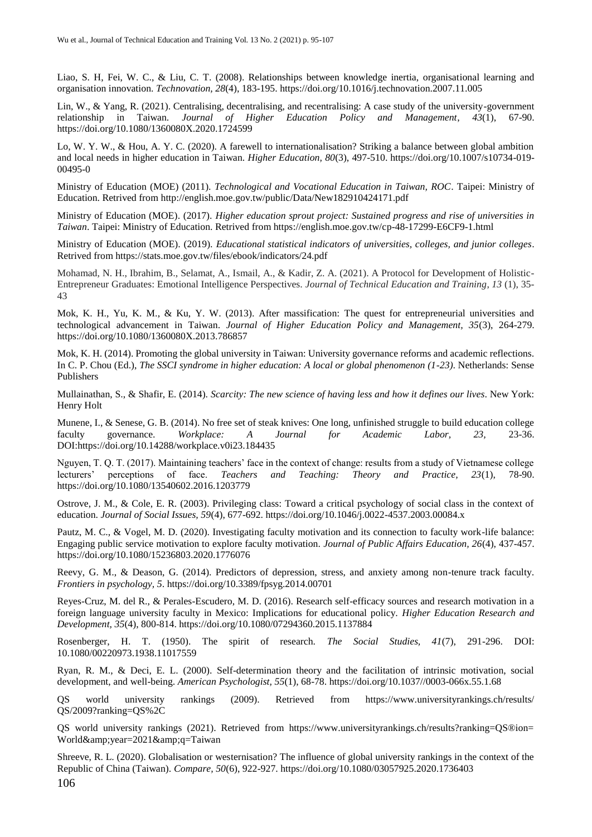Liao, S. H, Fei, W. C., & Liu, C. T. (2008). Relationships between knowledge inertia, organisational learning and organisation innovation. *Technovation, 28*(4), 183-195. https://doi.org/10.1016/j.technovation.2007.11.005

Lin, W., & Yang, R. (2021). Centralising, decentralising, and recentralising: A case study of the university-government relationship in Taiwan. *Journal of Higher Education Policy and Management*, *43*(1), 67-90. https://doi.org/10.1080/1360080X.2020.1724599

Lo, W. Y. W., & Hou, A. Y. C. (2020). A farewell to internationalisation? Striking a balance between global ambition and local needs in higher education in Taiwan. *Higher Education, 80*(3), 497-510. https://doi.org/10.1007/s10734-019- 00495-0

Ministry of Education (MOE) (2011). *Technological and Vocational Education in Taiwan, ROC*. Taipei: Ministry of Education. Retrived from http://english.moe.gov.tw/public/Data/New182910424171.pdf

Ministry of Education (MOE). (2017). *Higher education sprout project: Sustained progress and rise of universities in Taiwan*. Taipei: Ministry of Education. Retrived from https://english.moe.gov.tw/cp-48-17299-E6CF9-1.html

Ministry of Education (MOE). (2019). *Educational statistical indicators of universities, colleges, and junior colleges*. Retrived from https://stats.moe.gov.tw/files/ebook/indicators/24.pdf

Mohamad, N. H., Ibrahim, B., Selamat, A., Ismail, A., & Kadir, Z. A. (2021). A Protocol for Development of Holistic-Entrepreneur Graduates: Emotional Intelligence Perspectives. *Journal of Technical Education and Training*, *13* (1), 35- 43

Mok, K. H., Yu, K. M., & Ku, Y. W. (2013). After massification: The quest for entrepreneurial universities and technological advancement in Taiwan. *Journal of Higher Education Policy and Management, 35*(3), 264-279. https://doi.org/10.1080/1360080X.2013.786857

Mok, K. H. (2014). Promoting the global university in Taiwan: University governance reforms and academic reflections. In C. P. Chou (Ed.), *The SSCI syndrome in higher education: A local or global phenomenon (1-23)*. Netherlands: Sense Publishers

Mullainathan, S., & Shafir, E. (2014). *Scarcity: The new science of having less and how it defines our lives*. New York: Henry Holt

Munene, I., & Senese, G. B. (2014). No free set of steak knives: One long, unfinished struggle to build education college faculty governance. *Workplace: A Journal for Academic Labor, 23,* 23-36. DOI:https://doi.org/10.14288/workplace.v0i23.184435

Nguyen, T. Q. T. (2017). Maintaining teachers' face in the context of change: results from a study of Vietnamese college lecturers' perceptions of face. *Teachers and Teaching: Theory and Practice, 23*(1), 78-90. https://doi.org/10.1080/13540602.2016.1203779

Ostrove, J. M., & Cole, E. R. (2003). Privileging class: Toward a critical psychology of social class in the context of education. *Journal of Social Issues, 59*(4), 677-692. https://doi.org/10.1046/j.0022-4537.2003.00084.x

Pautz, M. C., & Vogel, M. D. (2020). Investigating faculty motivation and its connection to faculty work-life balance: Engaging public service motivation to explore faculty motivation. *Journal of Public Affairs Education, 26*(4), 437-457. https://doi.org/10.1080/15236803.2020.1776076

Reevy, G. M., & Deason, G. (2014). Predictors of depression, stress, and anxiety among non-tenure track faculty. *Frontiers in psychology, 5*. https://doi.org/10.3389/fpsyg.2014.00701

Reyes-Cruz, M. del R., & Perales-Escudero, M. D. (2016). Research self-efficacy sources and research motivation in a foreign language university faculty in Mexico: Implications for educational policy. *Higher Education Research and Development, 35*(4), 800-814. https://doi.org/10.1080/07294360.2015.1137884

Rosenberger, H. T. (1950). The spirit of research. *The Social Studies, 41*(7), 291-296. DOI: 10.1080/00220973.1938.11017559

Ryan, R. M., & Deci, E. L. (2000). Self-determination theory and the facilitation of intrinsic motivation, social development, and well-being. *American Psychologist, 55*(1), 68-78. https://doi.org/10.1037//0003-066x.55.1.68

QS world university rankings (2009). Retrieved from https://www.universityrankings.ch/results/ QS/2009?ranking=QS%2C

QS world university rankings (2021). Retrieved from https://www.universityrankings.ch/results?ranking=QS®ion= World&year=2021&q=Taiwan

106 Shreeve, R. L. (2020). Globalisation or westernisation? The influence of global university rankings in the context of the Republic of China (Taiwan). *Compare, 50*(6), 922-927. https://doi.org/10.1080/03057925.2020.1736403